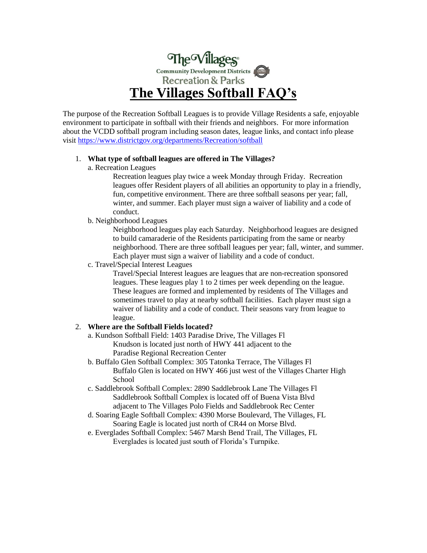

The purpose of the Recreation Softball Leagues is to provide Village Residents a safe, enjoyable environment to participate in softball with their friends and neighbors. For more information about the VCDD softball program including season dates, league links, and contact info please visi[t https://www.districtgov.org/departments/Recreation/softball](https://www.districtgov.org/departments/Recreation/softball)

#### 1. **What type of softball leagues are offered in The Villages?**

a. Recreation Leagues

Recreation leagues play twice a week Monday through Friday. Recreation leagues offer Resident players of all abilities an opportunity to play in a friendly, fun, competitive environment. There are three softball seasons per year; fall, winter, and summer. Each player must sign a waiver of liability and a code of conduct.

b. Neighborhood Leagues

Neighborhood leagues play each Saturday. Neighborhood leagues are designed to build camaraderie of the Residents participating from the same or nearby neighborhood. There are three softball leagues per year; fall, winter, and summer. Each player must sign a waiver of liability and a code of conduct.

c. Travel/Special Interest Leagues

Travel/Special Interest leagues are leagues that are non-recreation sponsored leagues. These leagues play 1 to 2 times per week depending on the league. These leagues are formed and implemented by residents of The Villages and sometimes travel to play at nearby softball facilities. Each player must sign a waiver of liability and a code of conduct. Their seasons vary from league to league.

# 2. **Where are the Softball Fields located?**

- a. Kundson Softball Field: 1403 Paradise Drive, The Villages Fl Knudson is located just north of HWY 441 adjacent to the Paradise Regional Recreation Center
- b. Buffalo Glen Softball Complex: 305 Tatonka Terrace, The Villages Fl Buffalo Glen is located on HWY 466 just west of the Villages Charter High School
- c. Saddlebrook Softball Complex: 2890 Saddlebrook Lane The Villages Fl Saddlebrook Softball Complex is located off of Buena Vista Blvd adjacent to The Villages Polo Fields and Saddlebrook Rec Center
- d. Soaring Eagle Softball Complex: 4390 Morse Boulevard, The Villages, FL Soaring Eagle is located just north of CR44 on Morse Blvd.
- e. Everglades Softball Complex: 5467 Marsh Bend Trail, The Villages, FL Everglades is located just south of Florida's Turnpike.